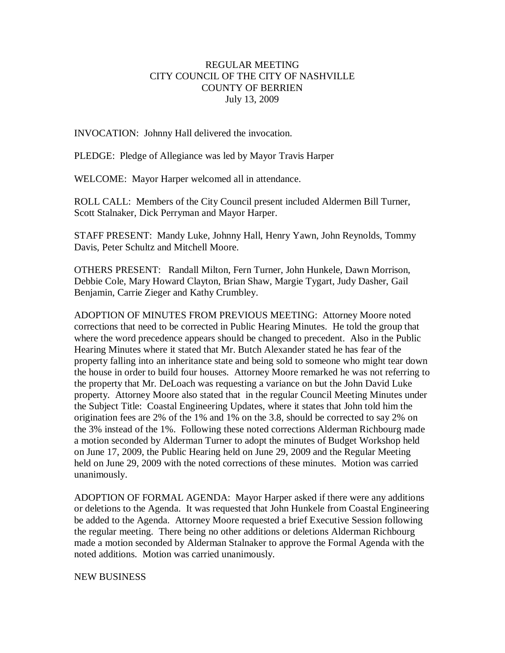## REGULAR MEETING CITY COUNCIL OF THE CITY OF NASHVILLE COUNTY OF BERRIEN July 13, 2009

INVOCATION: Johnny Hall delivered the invocation.

PLEDGE: Pledge of Allegiance was led by Mayor Travis Harper

WELCOME: Mayor Harper welcomed all in attendance.

ROLL CALL: Members of the City Council present included Aldermen Bill Turner, Scott Stalnaker, Dick Perryman and Mayor Harper.

STAFF PRESENT: Mandy Luke, Johnny Hall, Henry Yawn, John Reynolds, Tommy Davis, Peter Schultz and Mitchell Moore.

OTHERS PRESENT: Randall Milton, Fern Turner, John Hunkele, Dawn Morrison, Debbie Cole, Mary Howard Clayton, Brian Shaw, Margie Tygart, Judy Dasher, Gail Benjamin, Carrie Zieger and Kathy Crumbley.

ADOPTION OF MINUTES FROM PREVIOUS MEETING: Attorney Moore noted corrections that need to be corrected in Public Hearing Minutes. He told the group that where the word precedence appears should be changed to precedent. Also in the Public Hearing Minutes where it stated that Mr. Butch Alexander stated he has fear of the property falling into an inheritance state and being sold to someone who might tear down the house in order to build four houses. Attorney Moore remarked he was not referring to the property that Mr. DeLoach was requesting a variance on but the John David Luke property. Attorney Moore also stated that in the regular Council Meeting Minutes under the Subject Title: Coastal Engineering Updates, where it states that John told him the origination fees are 2% of the 1% and 1% on the 3.8, should be corrected to say 2% on the 3% instead of the 1%. Following these noted corrections Alderman Richbourg made a motion seconded by Alderman Turner to adopt the minutes of Budget Workshop held on June 17, 2009, the Public Hearing held on June 29, 2009 and the Regular Meeting held on June 29, 2009 with the noted corrections of these minutes. Motion was carried unanimously.

ADOPTION OF FORMAL AGENDA: Mayor Harper asked if there were any additions or deletions to the Agenda. It was requested that John Hunkele from Coastal Engineering be added to the Agenda. Attorney Moore requested a brief Executive Session following the regular meeting. There being no other additions or deletions Alderman Richbourg made a motion seconded by Alderman Stalnaker to approve the Formal Agenda with the noted additions. Motion was carried unanimously.

NEW BUSINESS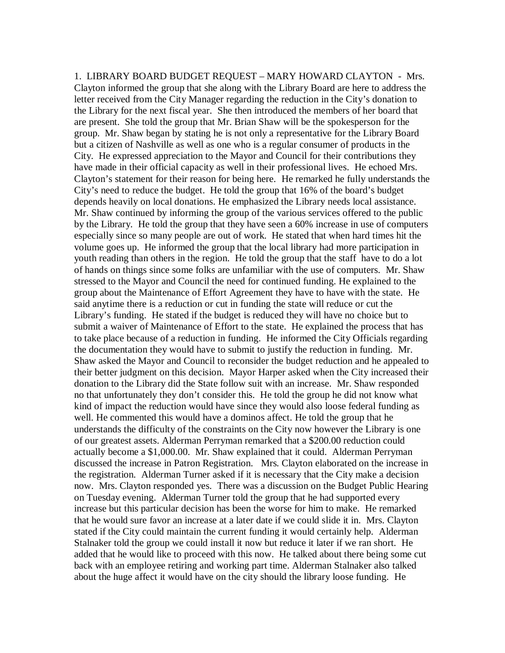1. LIBRARY BOARD BUDGET REQUEST – MARY HOWARD CLAYTON - Mrs. Clayton informed the group that she along with the Library Board are here to address the letter received from the City Manager regarding the reduction in the City's donation to the Library for the next fiscal year. She then introduced the members of her board that are present. She told the group that Mr. Brian Shaw will be the spokesperson for the group. Mr. Shaw began by stating he is not only a representative for the Library Board but a citizen of Nashville as well as one who is a regular consumer of products in the City. He expressed appreciation to the Mayor and Council for their contributions they have made in their official capacity as well in their professional lives. He echoed Mrs. Clayton's statement for their reason for being here. He remarked he fully understands the City's need to reduce the budget. He told the group that 16% of the board's budget depends heavily on local donations. He emphasized the Library needs local assistance. Mr. Shaw continued by informing the group of the various services offered to the public by the Library. He told the group that they have seen a 60% increase in use of computers especially since so many people are out of work. He stated that when hard times hit the volume goes up. He informed the group that the local library had more participation in youth reading than others in the region. He told the group that the staff have to do a lot of hands on things since some folks are unfamiliar with the use of computers. Mr. Shaw stressed to the Mayor and Council the need for continued funding. He explained to the group about the Maintenance of Effort Agreement they have to have with the state. He said anytime there is a reduction or cut in funding the state will reduce or cut the Library's funding. He stated if the budget is reduced they will have no choice but to submit a waiver of Maintenance of Effort to the state. He explained the process that has to take place because of a reduction in funding. He informed the City Officials regarding the documentation they would have to submit to justify the reduction in funding. Mr. Shaw asked the Mayor and Council to reconsider the budget reduction and he appealed to their better judgment on this decision. Mayor Harper asked when the City increased their donation to the Library did the State follow suit with an increase. Mr. Shaw responded no that unfortunately they don't consider this. He told the group he did not know what kind of impact the reduction would have since they would also loose federal funding as well. He commented this would have a dominos affect. He told the group that he understands the difficulty of the constraints on the City now however the Library is one of our greatest assets. Alderman Perryman remarked that a \$200.00 reduction could actually become a \$1,000.00. Mr. Shaw explained that it could. Alderman Perryman discussed the increase in Patron Registration. Mrs. Clayton elaborated on the increase in the registration. Alderman Turner asked if it is necessary that the City make a decision now. Mrs. Clayton responded yes. There was a discussion on the Budget Public Hearing on Tuesday evening. Alderman Turner told the group that he had supported every increase but this particular decision has been the worse for him to make. He remarked that he would sure favor an increase at a later date if we could slide it in. Mrs. Clayton stated if the City could maintain the current funding it would certainly help. Alderman Stalnaker told the group we could install it now but reduce it later if we ran short. He added that he would like to proceed with this now. He talked about there being some cut back with an employee retiring and working part time. Alderman Stalnaker also talked about the huge affect it would have on the city should the library loose funding. He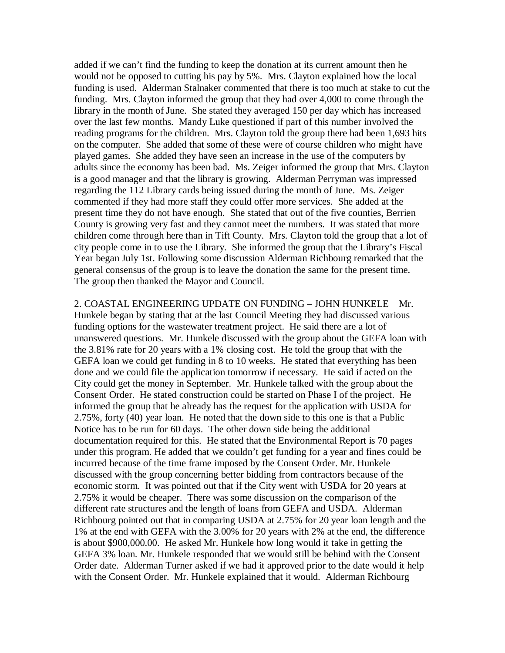added if we can't find the funding to keep the donation at its current amount then he would not be opposed to cutting his pay by 5%. Mrs. Clayton explained how the local funding is used. Alderman Stalnaker commented that there is too much at stake to cut the funding. Mrs. Clayton informed the group that they had over 4,000 to come through the library in the month of June. She stated they averaged 150 per day which has increased over the last few months. Mandy Luke questioned if part of this number involved the reading programs for the children. Mrs. Clayton told the group there had been 1,693 hits on the computer. She added that some of these were of course children who might have played games. She added they have seen an increase in the use of the computers by adults since the economy has been bad. Ms. Zeiger informed the group that Mrs. Clayton is a good manager and that the library is growing. Alderman Perryman was impressed regarding the 112 Library cards being issued during the month of June. Ms. Zeiger commented if they had more staff they could offer more services. She added at the present time they do not have enough. She stated that out of the five counties, Berrien County is growing very fast and they cannot meet the numbers. It was stated that more children come through here than in Tift County. Mrs. Clayton told the group that a lot of city people come in to use the Library. She informed the group that the Library's Fiscal Year began July 1st. Following some discussion Alderman Richbourg remarked that the general consensus of the group is to leave the donation the same for the present time. The group then thanked the Mayor and Council.

2. COASTAL ENGINEERING UPDATE ON FUNDING – JOHN HUNKELE Mr. Hunkele began by stating that at the last Council Meeting they had discussed various funding options for the wastewater treatment project. He said there are a lot of unanswered questions. Mr. Hunkele discussed with the group about the GEFA loan with the 3.81% rate for 20 years with a 1% closing cost. He told the group that with the GEFA loan we could get funding in 8 to 10 weeks. He stated that everything has been done and we could file the application tomorrow if necessary. He said if acted on the City could get the money in September. Mr. Hunkele talked with the group about the Consent Order. He stated construction could be started on Phase I of the project. He informed the group that he already has the request for the application with USDA for 2.75%, forty (40) year loan. He noted that the down side to this one is that a Public Notice has to be run for 60 days. The other down side being the additional documentation required for this. He stated that the Environmental Report is 70 pages under this program. He added that we couldn't get funding for a year and fines could be incurred because of the time frame imposed by the Consent Order. Mr. Hunkele discussed with the group concerning better bidding from contractors because of the economic storm. It was pointed out that if the City went with USDA for 20 years at 2.75% it would be cheaper. There was some discussion on the comparison of the different rate structures and the length of loans from GEFA and USDA. Alderman Richbourg pointed out that in comparing USDA at 2.75% for 20 year loan length and the 1% at the end with GEFA with the 3.00% for 20 years with 2% at the end, the difference is about \$900,000.00. He asked Mr. Hunkele how long would it take in getting the GEFA 3% loan. Mr. Hunkele responded that we would still be behind with the Consent Order date. Alderman Turner asked if we had it approved prior to the date would it help with the Consent Order. Mr. Hunkele explained that it would. Alderman Richbourg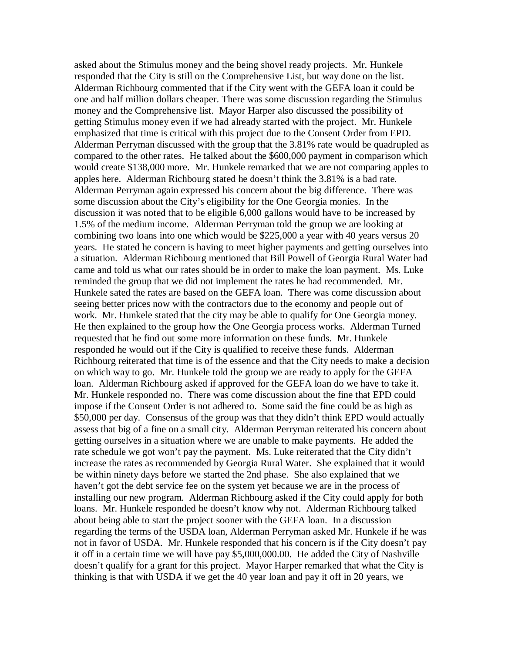asked about the Stimulus money and the being shovel ready projects. Mr. Hunkele responded that the City is still on the Comprehensive List, but way done on the list. Alderman Richbourg commented that if the City went with the GEFA loan it could be one and half million dollars cheaper. There was some discussion regarding the Stimulus money and the Comprehensive list. Mayor Harper also discussed the possibility of getting Stimulus money even if we had already started with the project. Mr. Hunkele emphasized that time is critical with this project due to the Consent Order from EPD. Alderman Perryman discussed with the group that the 3.81% rate would be quadrupled as compared to the other rates. He talked about the \$600,000 payment in comparison which would create \$138,000 more. Mr. Hunkele remarked that we are not comparing apples to apples here. Alderman Richbourg stated he doesn't think the 3.81% is a bad rate. Alderman Perryman again expressed his concern about the big difference. There was some discussion about the City's eligibility for the One Georgia monies. In the discussion it was noted that to be eligible 6,000 gallons would have to be increased by 1.5% of the medium income. Alderman Perryman told the group we are looking at combining two loans into one which would be \$225,000 a year with 40 years versus 20 years. He stated he concern is having to meet higher payments and getting ourselves into a situation. Alderman Richbourg mentioned that Bill Powell of Georgia Rural Water had came and told us what our rates should be in order to make the loan payment. Ms. Luke reminded the group that we did not implement the rates he had recommended. Mr. Hunkele sated the rates are based on the GEFA loan. There was come discussion about seeing better prices now with the contractors due to the economy and people out of work. Mr. Hunkele stated that the city may be able to qualify for One Georgia money. He then explained to the group how the One Georgia process works. Alderman Turned requested that he find out some more information on these funds. Mr. Hunkele responded he would out if the City is qualified to receive these funds. Alderman Richbourg reiterated that time is of the essence and that the City needs to make a decision on which way to go. Mr. Hunkele told the group we are ready to apply for the GEFA loan. Alderman Richbourg asked if approved for the GEFA loan do we have to take it. Mr. Hunkele responded no. There was come discussion about the fine that EPD could impose if the Consent Order is not adhered to. Some said the fine could be as high as \$50,000 per day. Consensus of the group was that they didn't think EPD would actually assess that big of a fine on a small city. Alderman Perryman reiterated his concern about getting ourselves in a situation where we are unable to make payments. He added the rate schedule we got won't pay the payment. Ms. Luke reiterated that the City didn't increase the rates as recommended by Georgia Rural Water. She explained that it would be within ninety days before we started the 2nd phase. She also explained that we haven't got the debt service fee on the system yet because we are in the process of installing our new program. Alderman Richbourg asked if the City could apply for both loans. Mr. Hunkele responded he doesn't know why not. Alderman Richbourg talked about being able to start the project sooner with the GEFA loan. In a discussion regarding the terms of the USDA loan, Alderman Perryman asked Mr. Hunkele if he was not in favor of USDA. Mr. Hunkele responded that his concern is if the City doesn't pay it off in a certain time we will have pay \$5,000,000.00. He added the City of Nashville doesn't qualify for a grant for this project. Mayor Harper remarked that what the City is thinking is that with USDA if we get the 40 year loan and pay it off in 20 years, we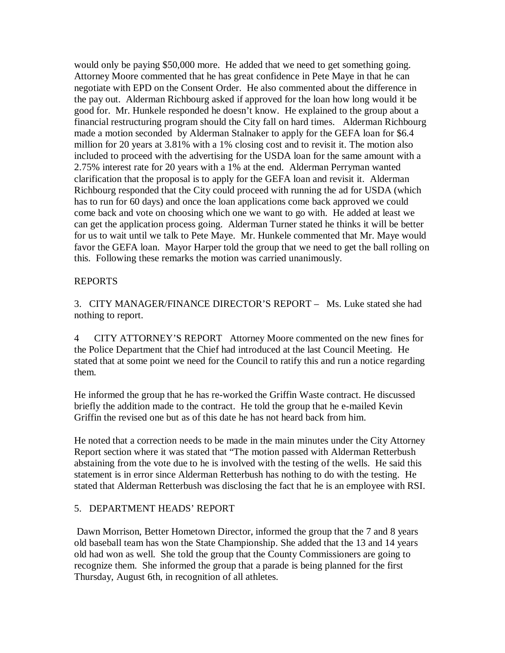would only be paying \$50,000 more. He added that we need to get something going. Attorney Moore commented that he has great confidence in Pete Maye in that he can negotiate with EPD on the Consent Order. He also commented about the difference in the pay out. Alderman Richbourg asked if approved for the loan how long would it be good for. Mr. Hunkele responded he doesn't know. He explained to the group about a financial restructuring program should the City fall on hard times. Alderman Richbourg made a motion seconded by Alderman Stalnaker to apply for the GEFA loan for \$6.4 million for 20 years at 3.81% with a 1% closing cost and to revisit it. The motion also included to proceed with the advertising for the USDA loan for the same amount with a 2.75% interest rate for 20 years with a 1% at the end. Alderman Perryman wanted clarification that the proposal is to apply for the GEFA loan and revisit it. Alderman Richbourg responded that the City could proceed with running the ad for USDA (which has to run for 60 days) and once the loan applications come back approved we could come back and vote on choosing which one we want to go with. He added at least we can get the application process going. Alderman Turner stated he thinks it will be better for us to wait until we talk to Pete Maye. Mr. Hunkele commented that Mr. Maye would favor the GEFA loan. Mayor Harper told the group that we need to get the ball rolling on this. Following these remarks the motion was carried unanimously.

# REPORTS

3. CITY MANAGER/FINANCE DIRECTOR'S REPORT – Ms. Luke stated she had nothing to report.

4 CITY ATTORNEY'S REPORT Attorney Moore commented on the new fines for the Police Department that the Chief had introduced at the last Council Meeting. He stated that at some point we need for the Council to ratify this and run a notice regarding them.

He informed the group that he has re-worked the Griffin Waste contract. He discussed briefly the addition made to the contract. He told the group that he e-mailed Kevin Griffin the revised one but as of this date he has not heard back from him.

He noted that a correction needs to be made in the main minutes under the City Attorney Report section where it was stated that "The motion passed with Alderman Retterbush abstaining from the vote due to he is involved with the testing of the wells. He said this statement is in error since Alderman Retterbush has nothing to do with the testing. He stated that Alderman Retterbush was disclosing the fact that he is an employee with RSI.

## 5. DEPARTMENT HEADS' REPORT

Dawn Morrison, Better Hometown Director, informed the group that the 7 and 8 years old baseball team has won the State Championship. She added that the 13 and 14 years old had won as well. She told the group that the County Commissioners are going to recognize them. She informed the group that a parade is being planned for the first Thursday, August 6th, in recognition of all athletes.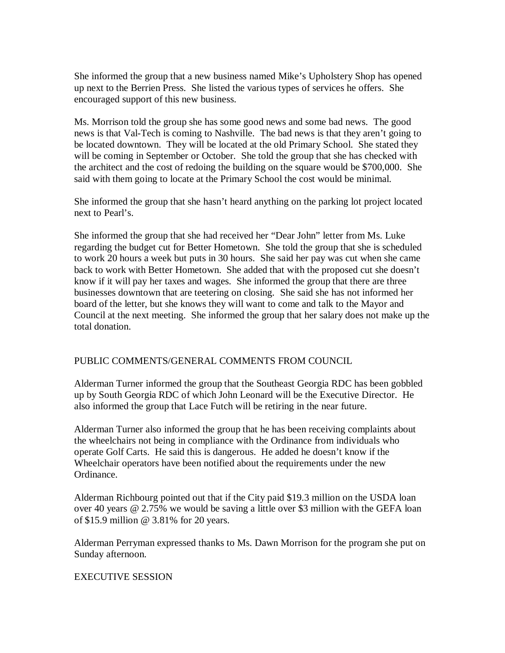She informed the group that a new business named Mike's Upholstery Shop has opened up next to the Berrien Press. She listed the various types of services he offers. She encouraged support of this new business.

Ms. Morrison told the group she has some good news and some bad news. The good news is that Val-Tech is coming to Nashville. The bad news is that they aren't going to be located downtown. They will be located at the old Primary School. She stated they will be coming in September or October. She told the group that she has checked with the architect and the cost of redoing the building on the square would be \$700,000. She said with them going to locate at the Primary School the cost would be minimal.

She informed the group that she hasn't heard anything on the parking lot project located next to Pearl's.

She informed the group that she had received her "Dear John" letter from Ms. Luke regarding the budget cut for Better Hometown. She told the group that she is scheduled to work 20 hours a week but puts in 30 hours. She said her pay was cut when she came back to work with Better Hometown. She added that with the proposed cut she doesn't know if it will pay her taxes and wages. She informed the group that there are three businesses downtown that are teetering on closing. She said she has not informed her board of the letter, but she knows they will want to come and talk to the Mayor and Council at the next meeting. She informed the group that her salary does not make up the total donation.

## PUBLIC COMMENTS/GENERAL COMMENTS FROM COUNCIL

Alderman Turner informed the group that the Southeast Georgia RDC has been gobbled up by South Georgia RDC of which John Leonard will be the Executive Director. He also informed the group that Lace Futch will be retiring in the near future.

Alderman Turner also informed the group that he has been receiving complaints about the wheelchairs not being in compliance with the Ordinance from individuals who operate Golf Carts. He said this is dangerous. He added he doesn't know if the Wheelchair operators have been notified about the requirements under the new Ordinance.

Alderman Richbourg pointed out that if the City paid \$19.3 million on the USDA loan over 40 years @ 2.75% we would be saving a little over \$3 million with the GEFA loan of \$15.9 million @ 3.81% for 20 years.

Alderman Perryman expressed thanks to Ms. Dawn Morrison for the program she put on Sunday afternoon.

## EXECUTIVE SESSION